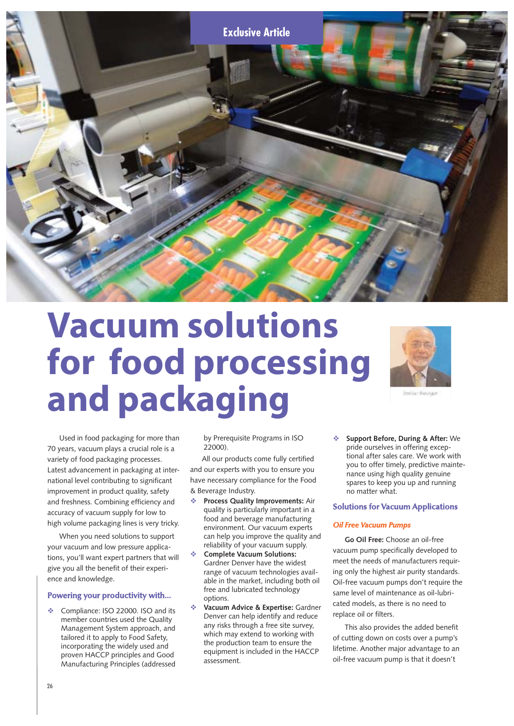

# **Vacuum solutions for food processing and packaging**



find the financials

Used in food packaging for more than 70 years, vacuum plays a crucial role is a variety of food packaging processes. Latest advancement in packaging at international level contributing to significant improvement in product quality, safety and freshness. Combining efficiency and accuracy of vacuum supply for low to high volume packaging lines is very tricky.

When you need solutions to support your vacuum and low pressure applications, you'll want expert partners that will give you all the benefit of their experience and knowledge.

## **Powering your productivity with...**

Compliance: ISO 22000. ISO and its member countries used the Quality Management System approach, and tailored it to apply to Food Safety, incorporating the widely used and proven HACCP principles and Good Manufacturing Principles (addressed

by Prerequisite Programs in ISO 22000).

All our products come fully certified and our experts with you to ensure you have necessary compliance for the Food & Beverage Industry.

- $\ddot{\phi}$  **Process Quality Improvements:** Air quality is particularly important in a food and beverage manufacturing environment. Our vacuum experts can help you improve the quality and reliability of your vacuum supply.
- $\ddot{\phi}$  **Complete Vacuum Solutions:** Gardner Denver have the widest range of vacuum technologies available in the market, including both oil free and lubricated technology options.
- $\ddot{\phi}$  **Vacuum Advice & Expertise:** Gardner Denver can help identify and reduce any risks through a free site survey, which may extend to working with the production team to ensure the equipment is included in the HACCP assessment.

- **Support Before, During & After:** We pride ourselves in offering exceptional after sales care. We work with you to offer timely, predictive maintenance using high quality genuine spares to keep you up and running no matter what.

# **Solutions for Vacuum Applications**

### *Oil Free Vacuum Pumps*

**Go Oil Free:** Choose an oil-free vacuum pump specifically developed to meet the needs of manufacturers requiring only the highest air purity standards. Oil-free vacuum pumps don't require the same level of maintenance as oil-lubricated models, as there is no need to replace oil or filters.

This also provides the added benefit of cutting down on costs over a pump's lifetime. Another major advantage to an oil-free vacuum pump is that it doesn't